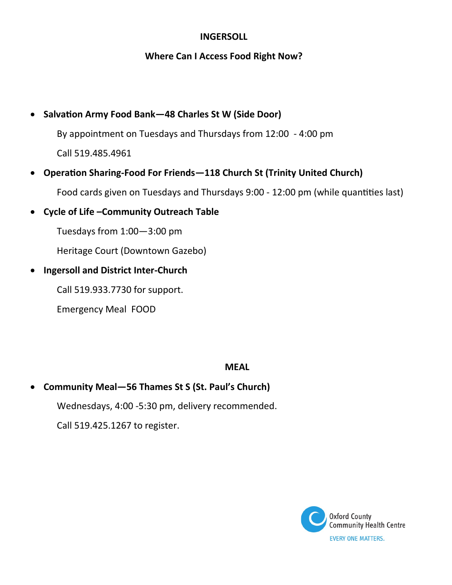## **INGERSOLL**

### **Where Can I Access Food Right Now?**

# • **Salvation Army Food Bank—48 Charles St W (Side Door)**

By appointment on Tuesdays and Thursdays from 12:00 - 4:00 pm Call 519.485.4961

- **Operation Sharing-Food For Friends—118 Church St (Trinity United Church)** Food cards given on Tuesdays and Thursdays 9:00 - 12:00 pm (while quantities last)
- **Cycle of Life –Community Outreach Table**

Tuesdays from 1:00—3:00 pm

Heritage Court (Downtown Gazebo)

• **Ingersoll and District Inter-Church** 

Call 519.933.7730 for support.

Emergency Meal FOOD

## **MEAL**

• **Community Meal—56 Thames St S (St. Paul's Church)** Wednesdays, 4:00 -5:30 pm, delivery recommended. Call 519.425.1267 to register.

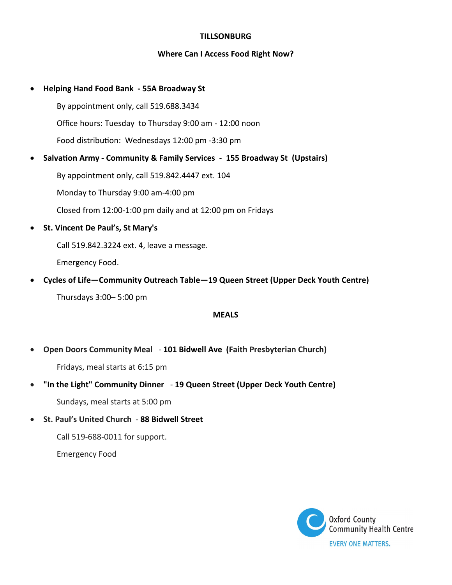#### **TILLSONBURG**

#### **Where Can I Access Food Right Now?**

#### • **Helping Hand Food Bank - 55A Broadway St**

By appointment only, call 519.688.3434

Office hours: Tuesday to Thursday 9:00 am - 12:00 noon

Food distribution: Wednesdays 12:00 pm -3:30 pm

• **Salvation Army - Community & Family Services** - **155 Broadway St (Upstairs)**

By appointment only, call 519.842.4447 ext. 104

Monday to Thursday 9:00 am-4:00 pm

Closed from 12:00-1:00 pm daily and at 12:00 pm on Fridays

• **St. Vincent De Paul's, St Mary's**

Call 519.842.3224 ext. 4, leave a message.

Emergency Food.

• **Cycles of Life—Community Outreach Table—19 Queen Street (Upper Deck Youth Centre)** Thursdays 3:00– 5:00 pm

#### **MEALS**

• **Open Doors Community Meal** - **101 Bidwell Ave (Faith Presbyterian Church)** 

Fridays, meal starts at 6:15 pm

• **"In the Light" Community Dinner** - **19 Queen Street (Upper Deck Youth Centre)**

Sundays, meal starts at 5:00 pm

• **St. Paul's United Church** - **88 Bidwell Street**

Call 519-688-0011 for support.

Emergency Food